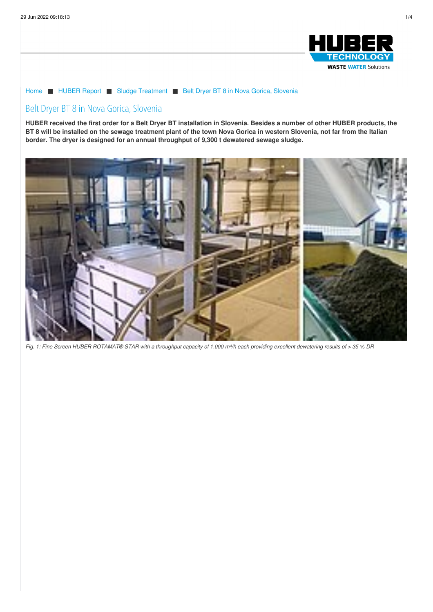

## [Home](/) ■ [HUBER](/huber-report.html) Report ■ Sludge [Treatment](/huber-report/ablage-berichte/sludge-treatment.html) ■ Belt Dryer BT 8 in Nova Gorica, [Slovenia](/huber-report/ablage-berichte/sludge-treatment/belt-dryer-bt-8-in-nova-gorica-slovenia.html)

# Belt Dryer BT 8 in Nova Gorica, Slovenia

HUBER received the first order for a Belt Dryer BT installation in Slovenia. Besides a number of other HUBER products, the BT 8 will be installed on the sewage treatment plant of the town Nova Gorica in western Slovenia, not far from the Italian **border. The dryer is designed for an annual throughput of 9,300 t dewatered sewage sludge.**



Fig. 1: Fine Screen HUBER ROTAMAT® STAR with a throughput capacity of 1.000 m<sup>3</sup>/h each providing excellent dewatering results of > 35 % DR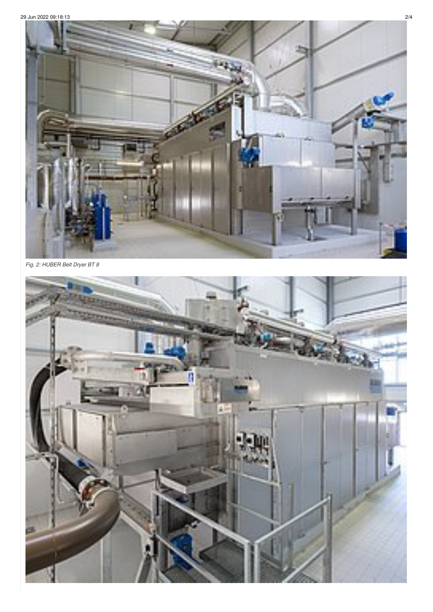

Fig. 2: HUBER Belt Dryer BT 8

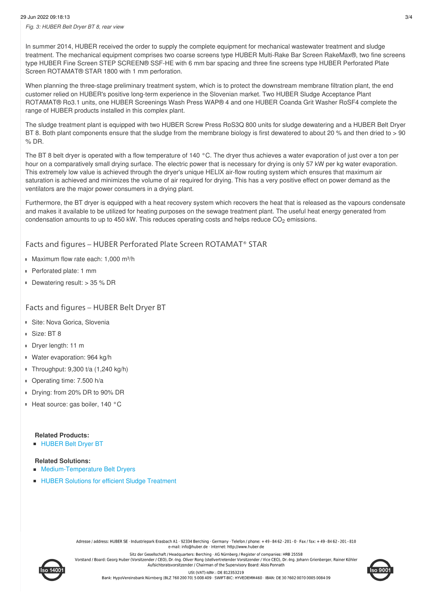In summer 2014, HUBER received the order to supply the complete equipment for mechanical wastewater treatment and sludge treatment. The mechanical equipment comprises two coarse screens type HUBER Multi-Rake Bar Screen RakeMax®, two fine screens type HUBER Fine Screen STEP SCREEN® SSF-HE with 6 mm bar spacing and three fine screens type HUBER Perforated Plate Screen ROTAMAT® STAR 1800 with 1 mm perforation.

When planning the three-stage preliminary treatment system, which is to protect the downstream membrane filtration plant, the end customer relied on HUBER's positive long-term experience in the Slovenian market. Two HUBER Sludge Acceptance Plant ROTAMAT® Ro3.1 units, one HUBER Screenings Wash Press WAP® 4 and one HUBER Coanda Grit Washer RoSF4 complete the range of HUBER products installed in this complex plant.

The sludge treatment plant is equipped with two HUBER Screw Press RoS3Q 800 units for sludge dewatering and a HUBER Belt Dryer BT 8. Both plant components ensure that the sludge from the membrane biology is first dewatered to about 20 % and then dried to > 90 % DR.

The BT 8 belt dryer is operated with a flow temperature of 140 °C. The dryer thus achieves a water evaporation of just over a ton per hour on a comparatively small drying surface. The electric power that is necessary for drying is only 57 kW per kg water evaporation. This extremely low value is achieved through the dryer's unique HELIX air-flow routing system which ensures that maximum air saturation is achieved and minimizes the volume of air required for drying. This has a very positive effect on power demand as the ventilators are the major power consumers in a drying plant.

Furthermore, the BT dryer is equipped with a heat recovery system which recovers the heat that is released as the vapours condensate and makes it available to be utilized for heating purposes on the sewage treatment plant. The useful heat energy generated from condensation amounts to up to 450 kW. This reduces operating costs and helps reduce  $CO_2$  emissions.

## Facts and figures – HUBER Perforated Plate Screen ROTAMAT® STAR

- Maximum flow rate each: 1,000 m<sup>3</sup>/h
- Perforated plate: 1 mm
- Dewatering result: > 35 % DR

## Facts and figures – HUBER Belt Dryer BT

- **Site: Nova Gorica, Slovenia**
- Size: BT 8
- Dryer length: 11 m
- Water evaporation: 964 kg/h
- Throughput: 9,300 t/a (1,240 kg/h)
- Operating time: 7.500 h/a
- Drying: from 20% DR to 90% DR
- Heat source: gas boiler, 140 °C

#### **Related Products: [HUBER](/products/sludge-treatment/sludge-drying/huber-belt-dryer-bt.html) Belt Dryer BT**

#### **Related Solutions:**

- [Medium-Temperature](/solutions/sludge-treatment/sludge-drying/middle-temperature-drying.html) Belt Dryers
- HUBER Solutions for efficient Sludge [Treatment](/solutions/centralized-wastewater-treatment/sludge-treatment.html)

Adresse / address: HUBER SE · Industriepark Erasbach A1 · 92334 Berching · Germany · Telefon / phone: +49-8462-201-0 · Fax / fax: +49-8462-201-810 e-mail: info@huber.de · Internet: http://www.huber.de Sitz der Gesellschaft / Headquarters: Berching · AG Nürnberg / Register of companies: HRB 25558



Vorstand / Board: Georg Huber (Vorsitzender / CEO), Dr.-Ing. Oliver Rong (stellvertretender Vorsitzender / Vice CEO), Dr.-Ing. Johann Grienberger, Rainer Köhler Aufsichtsratsvorsitzender / Chairman of the Supervisory Board: Alois Ponnath LISt (VAT)-IdNr : DF 812353219 Bank: HypoVereinsbank Nürnberg (BLZ 760 200 70) 5 008 409 · SWIFT-BIC: HYVEDEMM460 · IBAN: DE 30 7602 0070 0005 0084 09